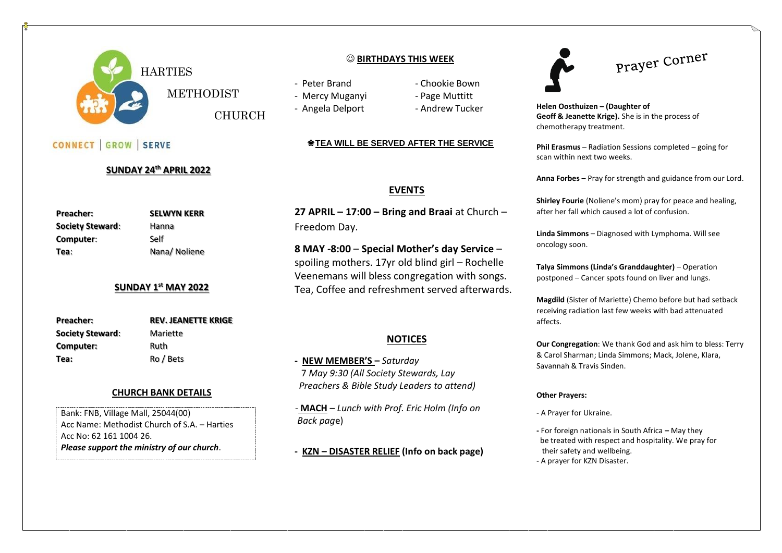

CONNECT GROW SERVE

### **BIRTHDAYS THIS WEEK**

- Peter Brand Chookie Bown
- 
- 

CHURCH

- Mercy Muganyi Page Muttitt
- Angela Delport Andrew Tucker

### ❀**TEA WILL BE SERVED AFTER THE SERVICE**

## **EVENTS**

**27 APRIL – 17:00 – Bring and Braai** at Church – Freedom Day.

**8 MAY -8:00** – **Special Mother's day Service** – spoiling mothers. 17yr old blind girl – Rochelle Veenemans will bless congregation with songs. Tea, Coffee and refreshment served afterwards.

## **NOTICES**

**- NEW MEMBER'S –** *Saturday*  7 *May 9:30 (All Society Stewards, Lay Preachers & Bible Study Leaders to attend)*

 - **MACH** – *Lunch with Prof. Eric Holm (Info on Back pag*e)

**- KZN – DISASTER RELIEF (Info on back page)** 

Prayer Corner

**Helen Oosthuizen – (Daughter of Geoff & Jeanette Krige).** She is in the process of chemotherapy treatment.

**Phil Erasmus** – Radiation Sessions completed – going for scan within next two weeks.

**Anna Forbes** – Pray for strength and guidance from our Lord.

**Shirley Fourie** (Noliene's mom) pray for peace and healing, after her fall which caused a lot of confusion.

**Linda Simmons** – Diagnosed with Lymphoma. Will see oncology soon.

**Talya Simmons (Linda's Granddaughter)** – Operation postponed – Cancer spots found on liver and lungs.

**Magdild** (Sister of Mariette) Chemo before but had setback receiving radiation last few weeks with bad attenuated affects.

**Our Congregation**: We thank God and ask him to bless: Terry & Carol Sharman; Linda Simmons; Mack, Jolene, Klara, Savannah & Travis Sinden.

#### **Other Prayers:**

- A Prayer for Ukraine.
- **-** For foreign nationals in South Africa **–** May they be treated with respect and hospitality. We pray for their safety and wellbeing. - A prayer for KZN Disaster.

**Preacher: SELWYN KERR Society Steward:** Hanna **Computer**: Self

Tea: Nana/ Noliene

**REV. JEANETTE KRIGE** 

### **SUNDAY 1 st MAY 2022**

**Mariette Computer:** Ruth **Tea:** Ro / Bets

**SUNDAY 24th APRIL 2022**

| <b>Preacher:</b>        |  |
|-------------------------|--|
| <b>Society Steward:</b> |  |
| Computer:               |  |
| ٦۵۵۰                    |  |

### **CHURCH BANK DETAILS**

Bank: FNB, Village Mall, 25044(00) Acc Name: Methodist Church of S.A. – Harties Acc No: 62 161 1004 26. *Please support the ministry of our church*.